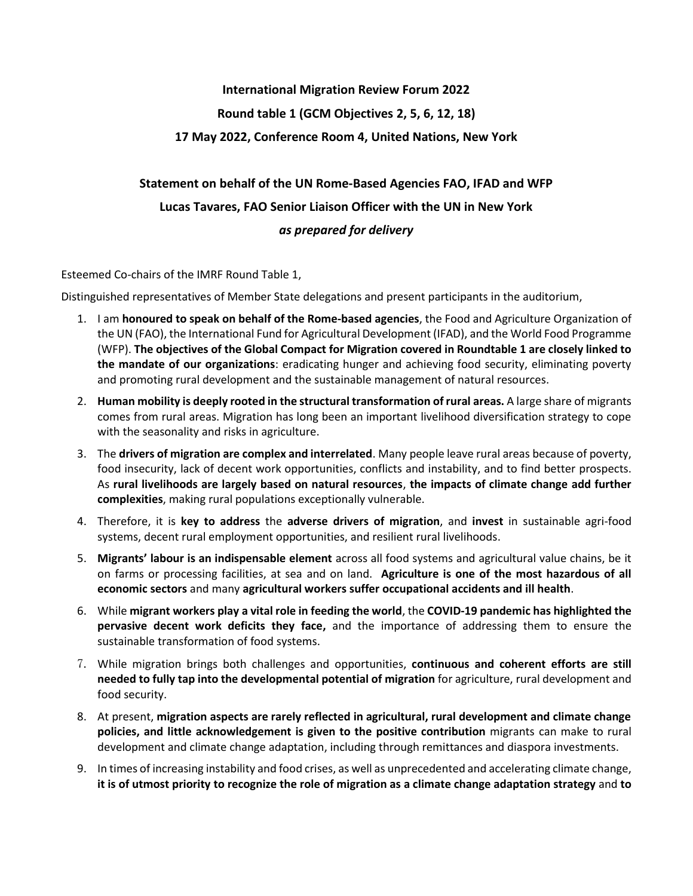## **International Migration Review Forum 2022 Round table 1 (GCM Objectives 2, 5, 6, 12, 18) 17 May 2022, Conference Room 4, United Nations, New York**

## **Statement on behalf of the UN Rome-Based Agencies FAO, IFAD and WFP Lucas Tavares, FAO Senior Liaison Officer with the UN in New York** *as prepared for delivery*

Esteemed Co-chairs of the IMRF Round Table 1,

Distinguished representatives of Member State delegations and present participants in the auditorium,

- 1. I am **honoured to speak on behalf of the Rome-based agencies**, the Food and Agriculture Organization of the UN (FAO), the International Fund for Agricultural Development (IFAD), and the World Food Programme (WFP). **The objectives of the Global Compact for Migration covered in Roundtable 1 are closely linked to the mandate of our organizations**: eradicating hunger and achieving food security, eliminating poverty and promoting rural development and the sustainable management of natural resources.
- 2. **Human mobility is deeply rooted in the structural transformation of rural areas.** A large share of migrants comes from rural areas. Migration has long been an important livelihood diversification strategy to cope with the seasonality and risks in agriculture.
- 3. The **drivers of migration are complex and interrelated**. Many people leave rural areas because of poverty, food insecurity, lack of decent work opportunities, conflicts and instability, and to find better prospects. As **rural livelihoods are largely based on natural resources**, **the impacts of climate change add further complexities**, making rural populations exceptionally vulnerable.
- 4. Therefore, it is **key to address** the **adverse drivers of migration**, and **invest** in sustainable agri-food systems, decent rural employment opportunities, and resilient rural livelihoods.
- 5. **Migrants' labour is an indispensable element** across all food systems and agricultural value chains, be it on farms or processing facilities, at sea and on land. **Agriculture is one of the most hazardous of all economic sectors** and many **agricultural workers suffer occupational accidents and ill health**.
- 6. While **migrant workers play a vital role in feeding the world**, the **COVID-19 pandemic has highlighted the pervasive decent work deficits they face,** and the importance of addressing them to ensure the sustainable transformation of food systems.
- 7. While migration brings both challenges and opportunities, **continuous and coherent efforts are still needed to fully tap into the developmental potential of migration** for agriculture, rural development and food security.
- 8. At present, **migration aspects are rarely reflected in agricultural, rural development and climate change policies, and little acknowledgement is given to the positive contribution** migrants can make to rural development and climate change adaptation, including through remittances and diaspora investments.
- 9. In times of increasing instability and food crises, as well as unprecedented and accelerating climate change, **it is of utmost priority to recognize the role of migration as a climate change adaptation strategy** and **to**